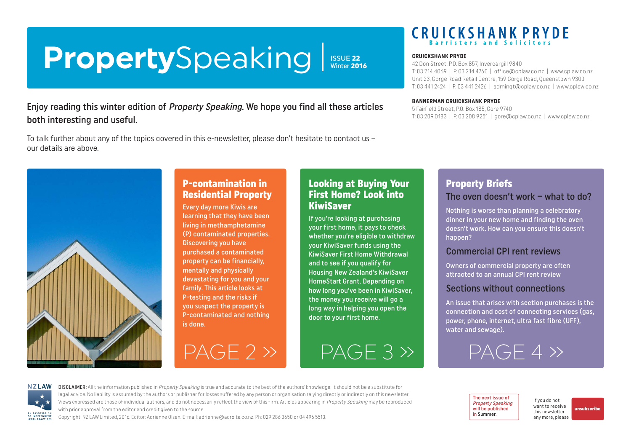# <span id="page-0-0"></span>**Property**Speaking

ISSUE 22<br>Winter 2016

## Enjoy reading this winter edition of Property Speaking. We hope you find all these articles both interesting and useful.

To talk further about any of the topics covered in this e-newsletter, please don't hesitate to contact us – our details are above.



## P-contamination in Residential Property

Every day more Kiwis are learning that they have been living in methamphetamine (P) contaminated properties. Discovering you have purchased a contaminated property can be financially, mentally and physically devastating for you and your family. This article looks at P-testing and the risks if you suspect the property is P-contaminated and nothing is done.

## Looking at Buying Your First Home? Look into KiwiSaver

If you're looking at purchasing your first home, it pays to check whether you're eligible to withdraw your KiwiSaver funds using the KiwiSaver First Home Withdrawal and to see if you qualify for Housing New Zealand's KiwiSaver HomeStart Grant. Depending on how long you've been in KiwiSaver, the money you receive will go a long way in helping you open the door to your first home.

 $PAGE 2 \gg$   $PAGE 3 \gg$   $PAGE 4 \gg$ 

## **CRUICKSHANK PRYDE**

#### **CRUICKSHANK PRYDE**

42 Don Street, P.O. Box 857, Invercargill 9840 T: 03 214 4069 | F: 03 214 4760 | [office@cplaw.co.nz](mailto:office%40cplaw.co.nz?subject=) | www.cplaw.co.nz Unit 23, Gorge Road Retail Centre, 159 Gorge Road, Queenstown 9300 T: 03 441 2424 | F: 03 441 2426 | adminqt@cplaw.co.nz | www.cplaw.co.nz

#### **BANNERMAN CRUICKSHANK PRYDE**

5 Fairfield Street, P.O. Box 185, Gore 9740 T: 03 209 0183 | F: 03 208 9251 | gore@cplaw.co.nz | www.cplaw.co.nz

## Property Briefs The oven doesn't work – what to do?

Nothing is worse than planning a celebratory dinner in your new home and finding the oven doesn't work. How can you ensure this doesn't happen?

## Commercial CPI rent reviews

Owners of commercial property are often attracted to an annual CPI rent review

## Sections without connections

An issue that arises with section purchases is the connection and cost of connecting services (gas, power, phone, internet, ultra fast fibre (UFF), water and sewage).

**NZLAW** AN ASSOCIATION OF INDEPENDENT

DISCLAIMER: All the information published in Property Speaking is true and accurate to the best of the authors' knowledge. It should not be a substitute for legal advice. No liability is assumed by the authors or publisher for losses suffered by any person or organisation relying directly or indirectly on this newsletter. Views expressed are those of individual authors, and do not necessarily reflect the view of this firm. Articles appearing in Property Speaking may be reproduced with prior approval from the editor and credit given to the source.

Copyright, NZ LAW Limited, 2016. Editor: Adrienne Olsen. [E-mail: adrienne@adroite.co.nz](mailto:adrienne@adroite.co.nz). Ph: 029 286 3650 or 04 496 5513.

The next issue of Property Speaking will be published in Summer.

If you do not want to receive this newsletter any more, please [unsubscribe](mailto:adrienne%40adroite.co.nz?subject=Property%20Speaking%20-%20unsubscribe%20me%20please)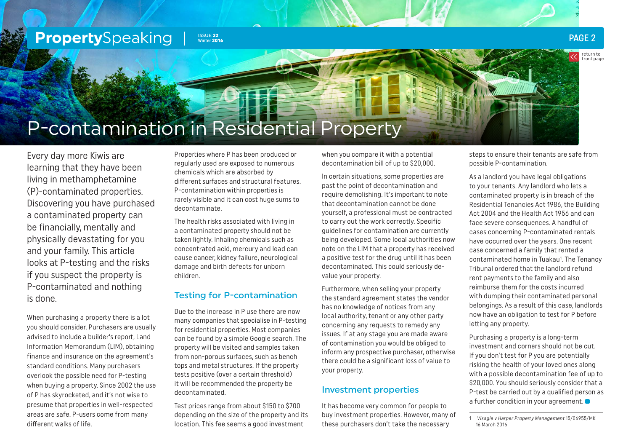<span id="page-1-0"></span>

return to [front page](#page-0-0)

## P-contamination in Residential Property

Every day more Kiwis are learning that they have been living in methamphetamine (P)-contaminated properties. Discovering you have purchased a contaminated property can be financially, mentally and physically devastating for you and your family. This article looks at P-testing and the risks if you suspect the property is P-contaminated and nothing is done.

When purchasing a property there is a lot you should consider. Purchasers are usually advised to include a builder's report, Land Information Memorandum (LIM), obtaining finance and insurance on the agreement's standard conditions. Many purchasers overlook the possible need for P-testing when buying a property. Since 2002 the use of P has skyrocketed, and it's not wise to presume that properties in well-respected areas are safe. P-users come from many different walks of life.

Properties where P has been produced or regularly used are exposed to numerous chemicals which are absorbed by different surfaces and structural features. P-contamination within properties is rarely visible and it can cost huge sums to decontaminate.

The health risks associated with living in a contaminated property should not be taken lightly. Inhaling chemicals such as concentrated acid, mercury and lead can cause cancer, kidney failure, neurological damage and birth defects for unborn children.

## Testing for P-contamination

Due to the increase in P use there are now many companies that specialise in P-testing for residential properties. Most companies can be found by a simple Google search. The property will be visited and samples taken from non-porous surfaces, such as bench tops and metal structures. If the property tests positive (over a certain threshold) it will be recommended the property be decontaminated.

Test prices range from about \$150 to \$700 depending on the size of the property and its location. This fee seems a good investment

when you compare it with a potential decontamination bill of up to \$20,000.

In certain situations, some properties are past the point of decontamination and require demolishing. It's important to note that decontamination cannot be done yourself, a professional must be contracted to carry out the work correctly. Specific guidelines for contamination are currently being developed. Some local authorities now note on the LIM that a property has received a positive test for the drug until it has been decontaminated. This could seriously devalue your property.

Furthermore, when selling your property the standard agreement states the vendor has no knowledge of notices from any local authority, tenant or any other party concerning any requests to remedy any issues. If at any stage you are made aware of contamination you would be obliged to inform any prospective purchaser, otherwise there could be a significant loss of value to your property.

#### Investment properties

It has become very common for people to buy investment properties. However, many of these purchasers don't take the necessary

steps to ensure their tenants are safe from possible P-contamination.

As a landlord you have legal obligations to your tenants. Any landlord who lets a contaminated property is in breach of the Residential Tenancies Act 1986, the Building Act 2004 and the Health Act 1956 and can face severe consequences. A handful of cases concerning P-contaminated rentals have occurred over the years. One recent case concerned a family that rented a contaminated home in Tuakau<sup>1</sup>. The Tenancy Tribunal ordered that the landlord refund rent payments to the family and also reimburse them for the costs incurred with dumping their contaminated personal belongings. As a result of this case, landlords now have an obligation to test for P before letting any property.

Purchasing a property is a long-term investment and corners should not be cut. If you don't test for P you are potentially risking the health of your loved ones along with a possible decontamination fee of up to \$20,000. You should seriously consider that a P-test be carried out by a qualified person as a further condition in your agreement.

<sup>1</sup> Visagie v Harper Property Management 15/06955/MK 16 March 2016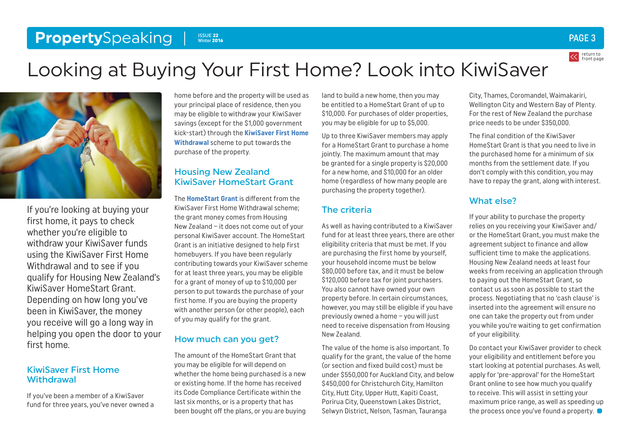#### <span id="page-2-0"></span>**Property**Speaking ISSUE 22 Winter 2016

## Looking at Buying Your First Home? Look into KiwiSaver



If you're looking at buying your first home, it pays to check whether you're eligible to withdraw your KiwiSaver funds using the KiwiSaver First Home Withdrawal and to see if you qualify for Housing New Zealand's KiwiSaver HomeStart Grant. Depending on how long you've been in KiwiSaver, the money you receive will go a long way in helping you open the door to your first home.

### KiwiSaver First Home **Withdrawal**

If you've been a member of a KiwiSaver fund for three years, you've never owned a

home before and the property will be used as your principal place of residence, then you may be eligible to withdraw your KiwiSaver savings (except for the \$1,000 government kick-start) through the **[KiwiSaver First Home](http://www.kiwisaver.govt.nz/new/benefits/home-withdrawl/)  [Withdrawal](http://www.kiwisaver.govt.nz/new/benefits/home-withdrawl/)** scheme to put towards the purchase of the property.

### Housing New Zealand KiwiSaver HomeStart Grant

The **[HomeStart Grant](http://www.hnzc.co.nz/ways-we-can-help-you-to-own-a-home/kiwisaver-homestart-grant-and-savings-withdrawal/kiwisaver-homestart-grant/)** is different from the KiwiSaver First Home Withdrawal scheme; the grant money comes from Housing New Zealand – it does not come out of your personal KiwiSaver account. The HomeStart Grant is an initiative designed to help first homebuyers. If you have been regularly contributing towards your KiwiSaver scheme for at least three years, you may be eligible for a grant of money of up to \$10,000 per person to put towards the purchase of your first home. If you are buying the property with another person (or other people), each of you may qualify for the grant.

### How much can you get?

The amount of the HomeStart Grant that you may be eligible for will depend on whether the home being purchased is a new or existing home. If the home has received its Code Compliance Certificate within the last six months, or is a property that has been bought off the plans, or you are buying

land to build a new home, then you may be entitled to a HomeStart Grant of up to \$10,000. For purchases of older properties, you may be eligible for up to \$5,000.

Up to three KiwiSaver members may apply for a HomeStart Grant to purchase a home jointly. The maximum amount that may be granted for a single property is \$20,000 for a new home, and \$10,000 for an older home (regardless of how many people are purchasing the property together).

## The criteria

As well as having contributed to a KiwiSaver fund for at least three years, there are other eligibility criteria that must be met. If you are purchasing the first home by yourself, your household income must be below \$80,000 before tax, and it must be below \$120,000 before tax for joint purchasers. You also cannot have owned your own property before. In certain circumstances, however, you may still be eligible if you have previously owned a home – you will just need to receive dispensation from Housing New Zealand.

The value of the home is also important. To qualify for the grant, the value of the home (or section and fixed build cost) must be under \$550,000 for Auckland City, and below \$450,000 for Christchurch City, Hamilton City, Hutt City, Upper Hutt, Kapiti Coast, Porirua City, Queenstown Lakes District, Selwyn District, Nelson, Tasman, Tauranga

City, Thames, Coromandel, Waimakariri, Wellington City and Western Bay of Plenty. For the rest of New Zealand the purchase price needs to be under \$350,000.

The final condition of the KiwiSaver HomeStart Grant is that you need to live in the purchased home for a minimum of six months from the settlement date. If you don't comply with this condition, you may have to repay the grant, along with interest.

## What else?

If your ability to purchase the property relies on you receiving your KiwiSaver and/ or the HomeStart Grant, you must make the agreement subject to finance and allow sufficient time to make the applications. Housing New Zealand needs at least four weeks from receiving an application through to paying out the HomeStart Grant, so contact us as soon as possible to start the process. Negotiating that no 'cash clause' is inserted into the agreement will ensure no one can take the property out from under you while you're waiting to get confirmation of your eligibility.

Do contact your KiwiSaver provider to check your eligibility and entitlement before you start looking at potential purchases. As well, apply for 'pre-approval' for the HomeStart Grant online to see how much you qualify to receive. This will assist in setting your maximum price range, as well as speeding up the process once you've found a property.  $\bullet$ 

return to [front page](#page-0-0)

PAGE 3